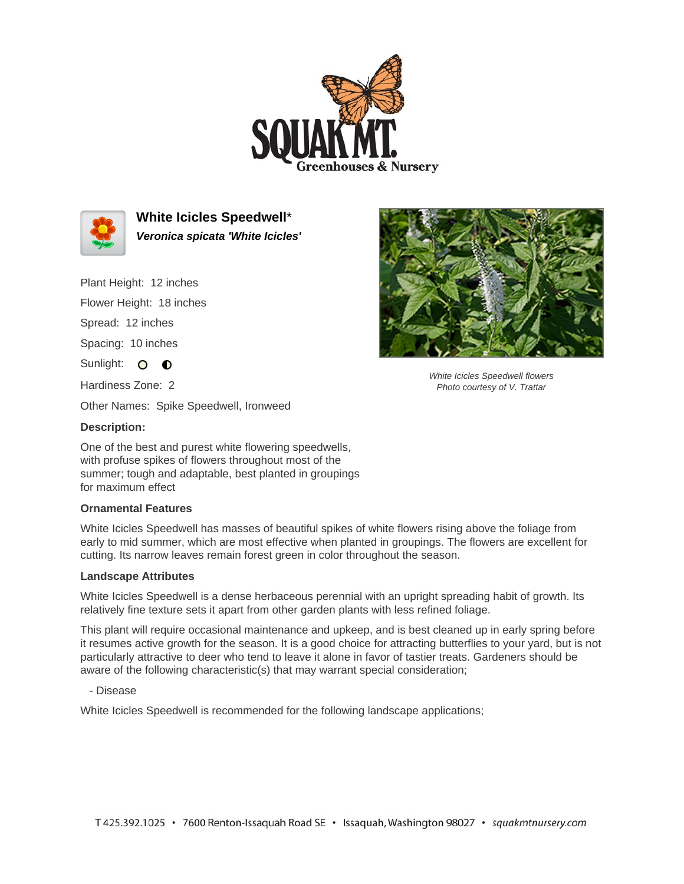



**White Icicles Speedwell**\* **Veronica spicata 'White Icicles'**

Plant Height: 12 inches

Flower Height: 18 inches

Spread: 12 inches

Spacing: 10 inches

Sunlight: O O

Hardiness Zone: 2

Other Names: Spike Speedwell, Ironweed

## **Description:**

One of the best and purest white flowering speedwells, with profuse spikes of flowers throughout most of the summer; tough and adaptable, best planted in groupings for maximum effect

## **Ornamental Features**

White Icicles Speedwell has masses of beautiful spikes of white flowers rising above the foliage from early to mid summer, which are most effective when planted in groupings. The flowers are excellent for cutting. Its narrow leaves remain forest green in color throughout the season.

## **Landscape Attributes**

White Icicles Speedwell is a dense herbaceous perennial with an upright spreading habit of growth. Its relatively fine texture sets it apart from other garden plants with less refined foliage.

This plant will require occasional maintenance and upkeep, and is best cleaned up in early spring before it resumes active growth for the season. It is a good choice for attracting butterflies to your yard, but is not particularly attractive to deer who tend to leave it alone in favor of tastier treats. Gardeners should be aware of the following characteristic(s) that may warrant special consideration;

- Disease

White Icicles Speedwell is recommended for the following landscape applications;



White Icicles Speedwell flowers Photo courtesy of V. Trattar